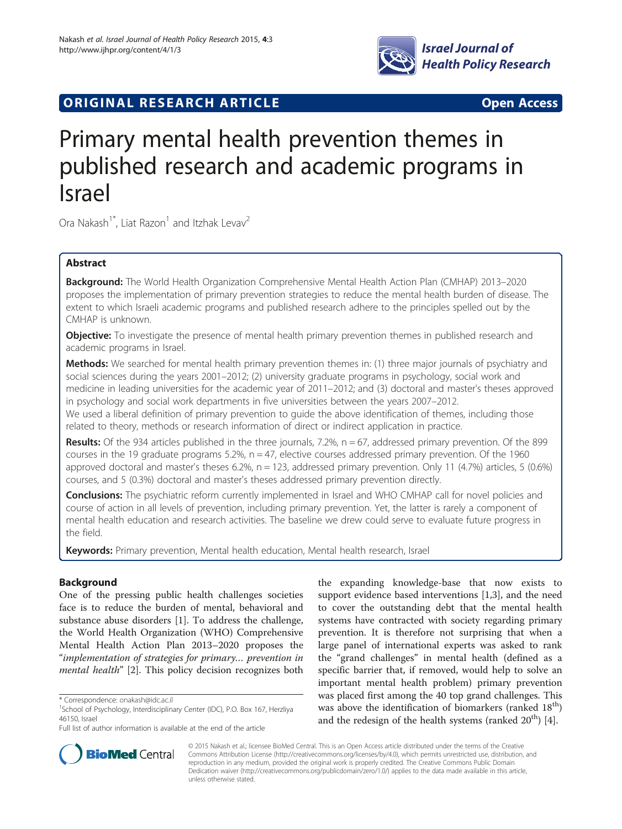

# **ORIGINAL RESEARCH ARTICLE CONSUMING ACCESS**

# Primary mental health prevention themes in published research and academic programs in Israel

Ora Nakash<sup>1\*</sup>, Liat Razon<sup>1</sup> and Itzhak Levav<sup>2</sup>

# Abstract

Background: The World Health Organization Comprehensive Mental Health Action Plan (CMHAP) 2013-2020 proposes the implementation of primary prevention strategies to reduce the mental health burden of disease. The extent to which Israeli academic programs and published research adhere to the principles spelled out by the CMHAP is unknown.

**Objective:** To investigate the presence of mental health primary prevention themes in published research and academic programs in Israel.

Methods: We searched for mental health primary prevention themes in: (1) three major journals of psychiatry and social sciences during the years 2001–2012; (2) university graduate programs in psychology, social work and medicine in leading universities for the academic year of 2011–2012; and (3) doctoral and master's theses approved in psychology and social work departments in five universities between the years 2007–2012.

We used a liberal definition of primary prevention to quide the above identification of themes, including those related to theory, methods or research information of direct or indirect application in practice.

Results: Of the 934 articles published in the three journals, 7.2%,  $n = 67$ , addressed primary prevention. Of the 899 courses in the 19 graduate programs 5.2%,  $n = 47$ , elective courses addressed primary prevention. Of the 1960 approved doctoral and master's theses 6.2%,  $n = 123$ , addressed primary prevention. Only 11 (4.7%) articles, 5 (0.6%) courses, and 5 (0.3%) doctoral and master's theses addressed primary prevention directly.

Conclusions: The psychiatric reform currently implemented in Israel and WHO CMHAP call for novel policies and course of action in all levels of prevention, including primary prevention. Yet, the latter is rarely a component of mental health education and research activities. The baseline we drew could serve to evaluate future progress in the field.

Keywords: Primary prevention, Mental health education, Mental health research, Israel

# Background

One of the pressing public health challenges societies face is to reduce the burden of mental, behavioral and substance abuse disorders [[1\]](#page-14-0). To address the challenge, the World Health Organization (WHO) Comprehensive Mental Health Action Plan 2013–2020 proposes the "implementation of strategies for primary… prevention in mental health" [[2\]](#page-14-0). This policy decision recognizes both the expanding knowledge-base that now exists to support evidence based interventions [\[1,3](#page-14-0)], and the need to cover the outstanding debt that the mental health systems have contracted with society regarding primary prevention. It is therefore not surprising that when a large panel of international experts was asked to rank the "grand challenges" in mental health (defined as a specific barrier that, if removed, would help to solve an important mental health problem) primary prevention was placed first among the 40 top grand challenges. This was above the identification of biomarkers (ranked  $18<sup>th</sup>$ ) and the redesign of the health systems (ranked  $20<sup>th</sup>$ ) [\[4](#page-14-0)].



© 2015 Nakash et al.; licensee BioMed Central. This is an Open Access article distributed under the terms of the Creative Commons Attribution License [\(http://creativecommons.org/licenses/by/4.0\)](http://creativecommons.org/licenses/by/4.0), which permits unrestricted use, distribution, and reproduction in any medium, provided the original work is properly credited. The Creative Commons Public Domain Dedication waiver [\(http://creativecommons.org/publicdomain/zero/1.0/](http://creativecommons.org/publicdomain/zero/1.0/)) applies to the data made available in this article, unless otherwise stated.

<sup>\*</sup> Correspondence: [onakash@idc.ac.il](mailto:onakash@idc.ac.il) <sup>1</sup>

<sup>&</sup>lt;sup>1</sup>School of Psychology, Interdisciplinary Center (IDC), P.O. Box 167, Herzliya 46150, Israel

Full list of author information is available at the end of the article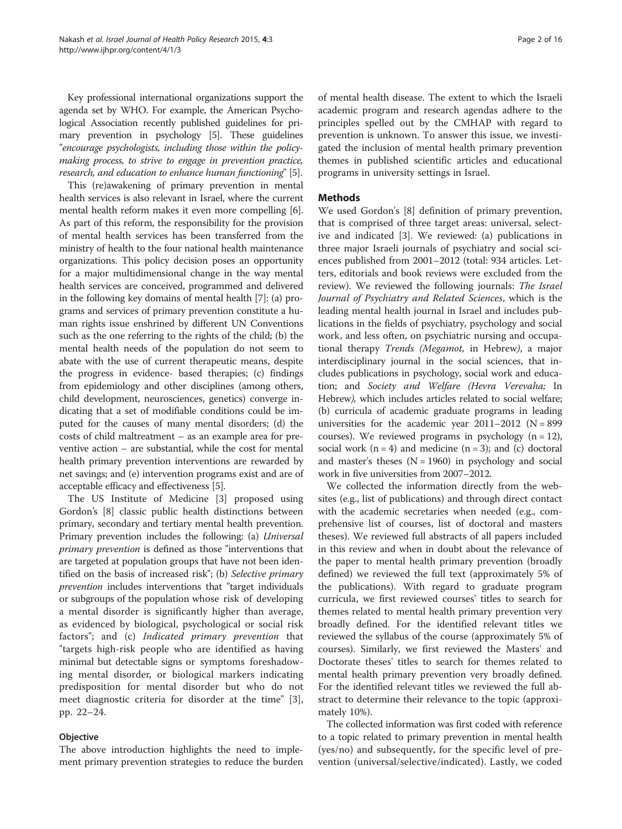Key professional international organizations support the agenda set by WHO. For example, the American Psychological Association recently published guidelines for primary prevention in psychology [\[5\]](#page-14-0). These guidelines "encourage psychologists, including those within the policymaking process, to strive to engage in prevention practice, research, and education to enhance human functioning" [\[5\]](#page-14-0).

This (re)awakening of primary prevention in mental health services is also relevant in Israel, where the current mental health reform makes it even more compelling [[6](#page-14-0)]. As part of this reform, the responsibility for the provision of mental health services has been transferred from the ministry of health to the four national health maintenance organizations. This policy decision poses an opportunity for a major multidimensional change in the way mental health services are conceived, programmed and delivered in the following key domains of mental health [\[7](#page-14-0)]: (a) programs and services of primary prevention constitute a human rights issue enshrined by different UN Conventions such as the one referring to the rights of the child; (b) the mental health needs of the population do not seem to abate with the use of current therapeutic means, despite the progress in evidence- based therapies; (c) findings from epidemiology and other disciplines (among others, child development, neurosciences, genetics) converge indicating that a set of modifiable conditions could be imputed for the causes of many mental disorders; (d) the costs of child maltreatment – as an example area for preventive action – are substantial, while the cost for mental health primary prevention interventions are rewarded by net savings; and (e) intervention programs exist and are of acceptable efficacy and effectiveness [\[5](#page-14-0)].

The US Institute of Medicine [[3\]](#page-14-0) proposed using Gordon's [[8](#page-14-0)] classic public health distinctions between primary, secondary and tertiary mental health prevention. Primary prevention includes the following: (a) Universal primary prevention is defined as those "interventions that are targeted at population groups that have not been identified on the basis of increased risk"; (b) Selective primary prevention includes interventions that "target individuals or subgroups of the population whose risk of developing a mental disorder is significantly higher than average, as evidenced by biological, psychological or social risk factors"; and (c) Indicated primary prevention that "targets high-risk people who are identified as having minimal but detectable signs or symptoms foreshadowing mental disorder, or biological markers indicating predisposition for mental disorder but who do not meet diagnostic criteria for disorder at the time" [\[3](#page-14-0)], pp. 22–24.

#### **Objective**

The above introduction highlights the need to implement primary prevention strategies to reduce the burden of mental health disease. The extent to which the Israeli academic program and research agendas adhere to the principles spelled out by the CMHAP with regard to prevention is unknown. To answer this issue, we investigated the inclusion of mental health primary prevention themes in published scientific articles and educational programs in university settings in Israel.

# **Methods**

We used Gordon's [[8\]](#page-14-0) definition of primary prevention, that is comprised of three target areas: universal, selective and indicated [\[3\]](#page-14-0). We reviewed: (a) publications in three major Israeli journals of psychiatry and social sciences published from 2001–2012 (total: 934 articles. Letters, editorials and book reviews were excluded from the review). We reviewed the following journals: The Israel Journal of Psychiatry and Related Sciences, which is the leading mental health journal in Israel and includes publications in the fields of psychiatry, psychology and social work, and less often, on psychiatric nursing and occupational therapy Trends (Megamot, in Hebrew), a major interdisciplinary journal in the social sciences, that includes publications in psychology, social work and education; and Society and Welfare (Hevra Verevaha; In Hebrew), which includes articles related to social welfare; (b) curricula of academic graduate programs in leading universities for the academic year  $2011-2012$  (N = 899 courses). We reviewed programs in psychology  $(n = 12)$ , social work  $(n = 4)$  and medicine  $(n = 3)$ ; and  $(c)$  doctoral and master's theses  $(N = 1960)$  in psychology and social work in five universities from 2007–2012.

We collected the information directly from the websites (e.g., list of publications) and through direct contact with the academic secretaries when needed (e.g., comprehensive list of courses, list of doctoral and masters theses). We reviewed full abstracts of all papers included in this review and when in doubt about the relevance of the paper to mental health primary prevention (broadly defined) we reviewed the full text (approximately 5% of the publications). With regard to graduate program curricula, we first reviewed courses' titles to search for themes related to mental health primary prevention very broadly defined. For the identified relevant titles we reviewed the syllabus of the course (approximately 5% of courses). Similarly, we first reviewed the Masters' and Doctorate theses' titles to search for themes related to mental health primary prevention very broadly defined. For the identified relevant titles we reviewed the full abstract to determine their relevance to the topic (approximately 10%).

The collected information was first coded with reference to a topic related to primary prevention in mental health (yes/no) and subsequently, for the specific level of prevention (universal/selective/indicated). Lastly, we coded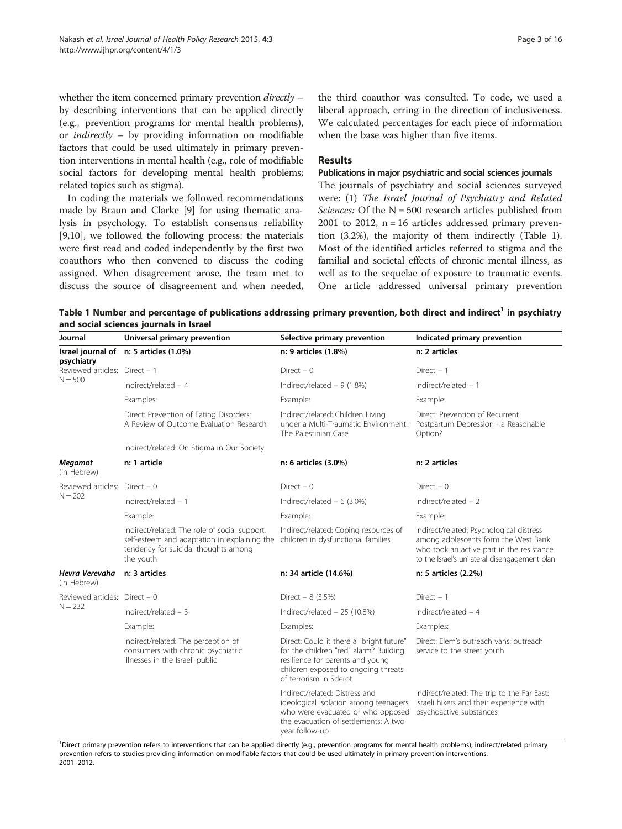<span id="page-2-0"></span>whether the item concerned primary prevention *directly* – by describing interventions that can be applied directly (e.g., prevention programs for mental health problems), or indirectly – by providing information on modifiable factors that could be used ultimately in primary prevention interventions in mental health (e.g., role of modifiable social factors for developing mental health problems; related topics such as stigma).

In coding the materials we followed recommendations made by Braun and Clarke [[9\]](#page-14-0) for using thematic analysis in psychology. To establish consensus reliability [[9,10\]](#page-14-0), we followed the following process: the materials were first read and coded independently by the first two coauthors who then convened to discuss the coding assigned. When disagreement arose, the team met to discuss the source of disagreement and when needed,

the third coauthor was consulted. To code, we used a liberal approach, erring in the direction of inclusiveness. We calculated percentages for each piece of information when the base was higher than five items.

## Results

#### Publications in major psychiatric and social sciences journals

The journals of psychiatry and social sciences surveyed were: (1) The Israel Journal of Psychiatry and Related Sciences: Of the  $N = 500$  research articles published from  $2001$  to  $2012$ ,  $n = 16$  articles addressed primary prevention (3.2%), the majority of them indirectly (Table 1). Most of the identified articles referred to stigma and the familial and societal effects of chronic mental illness, as well as to the sequelae of exposure to traumatic events. One article addressed universal primary prevention

| Table 1 Number and percentage of publications addressing primary prevention, both direct and indirect <sup>1</sup> in psychiatry |  |
|----------------------------------------------------------------------------------------------------------------------------------|--|
| and social sciences journals in Israel                                                                                           |  |

| Journal                         | Universal primary prevention                                                                                                                       | Selective primary prevention                                                                                                                                                            | Indicated primary prevention                                                                                                                                                   |
|---------------------------------|----------------------------------------------------------------------------------------------------------------------------------------------------|-----------------------------------------------------------------------------------------------------------------------------------------------------------------------------------------|--------------------------------------------------------------------------------------------------------------------------------------------------------------------------------|
| psychiatry                      | Israel journal of n: 5 articles (1.0%)                                                                                                             | n: 9 articles (1.8%)                                                                                                                                                                    | n: 2 articles                                                                                                                                                                  |
| Reviewed articles: Direct - 1   |                                                                                                                                                    | $Direct - 0$                                                                                                                                                                            | Direct $-1$                                                                                                                                                                    |
| $N = 500$                       | Indirect/related $-4$                                                                                                                              | Indirect/related $-9$ (1.8%)                                                                                                                                                            | Indirect/related - 1                                                                                                                                                           |
|                                 | Examples:                                                                                                                                          | Example:                                                                                                                                                                                | Example:                                                                                                                                                                       |
|                                 | Direct: Prevention of Eating Disorders:<br>A Review of Outcome Evaluation Research                                                                 | Indirect/related: Children Living<br>under a Multi-Traumatic Environment:<br>The Palestinian Case                                                                                       | Direct: Prevention of Recurrent<br>Postpartum Depression - a Reasonable<br>Option?                                                                                             |
|                                 | Indirect/related: On Stigma in Our Society                                                                                                         |                                                                                                                                                                                         |                                                                                                                                                                                |
| <b>Megamot</b><br>(in Hebrew)   | n: 1 article                                                                                                                                       | n: 6 articles (3.0%)                                                                                                                                                                    | n: 2 articles                                                                                                                                                                  |
| Reviewed articles: $Direct - 0$ |                                                                                                                                                    | $Direct - 0$                                                                                                                                                                            | $Direct - 0$                                                                                                                                                                   |
| $N = 202$                       | Indirect/related $-1$                                                                                                                              | Indirect/related $-6$ (3.0%)                                                                                                                                                            | Indirect/related $-2$                                                                                                                                                          |
|                                 | Example:                                                                                                                                           | Example:                                                                                                                                                                                | Example:                                                                                                                                                                       |
|                                 | Indirect/related: The role of social support,<br>self-esteem and adaptation in explaining the<br>tendency for suicidal thoughts among<br>the youth | Indirect/related: Coping resources of<br>children in dysfunctional families                                                                                                             | Indirect/related: Psychological distress<br>among adolescents form the West Bank<br>who took an active part in the resistance<br>to the Israel's unilateral disengagement plan |
| Hevra Verevaha<br>(in Hebrew)   | n: 3 articles                                                                                                                                      | n: 34 article (14.6%)                                                                                                                                                                   | n: 5 articles (2.2%)                                                                                                                                                           |
| Reviewed articles: Direct - 0   |                                                                                                                                                    | Direct $- 8$ (3.5%)                                                                                                                                                                     | $Direct - 1$                                                                                                                                                                   |
| $N = 232$                       | Indirect/related $-3$                                                                                                                              | Indirect/related $-25$ (10.8%)                                                                                                                                                          | Indirect/related $-4$                                                                                                                                                          |
|                                 | Example:                                                                                                                                           | Examples:                                                                                                                                                                               | Examples:                                                                                                                                                                      |
|                                 | Indirect/related: The perception of<br>consumers with chronic psychiatric<br>illnesses in the Israeli public                                       | Direct: Could it there a "bright future"<br>for the children "red" alarm? Building<br>resilience for parents and young<br>children exposed to ongoing threats<br>of terrorism in Sderot | Direct: Elem's outreach vans: outreach<br>service to the street youth                                                                                                          |
|                                 |                                                                                                                                                    | Indirect/related: Distress and<br>ideological isolation among teenagers<br>who were evacuated or who opposed<br>the evacuation of settlements: A two<br>year follow-up                  | Indirect/related: The trip to the Far East:<br>Israeli hikers and their experience with<br>psychoactive substances                                                             |

<sup>1</sup>Direct primary prevention refers to interventions that can be applied directly (e.g., prevention programs for mental health problems); indirect/related primary prevention refers to studies providing information on modifiable factors that could be used ultimately in primary prevention interventions. 2001–2012.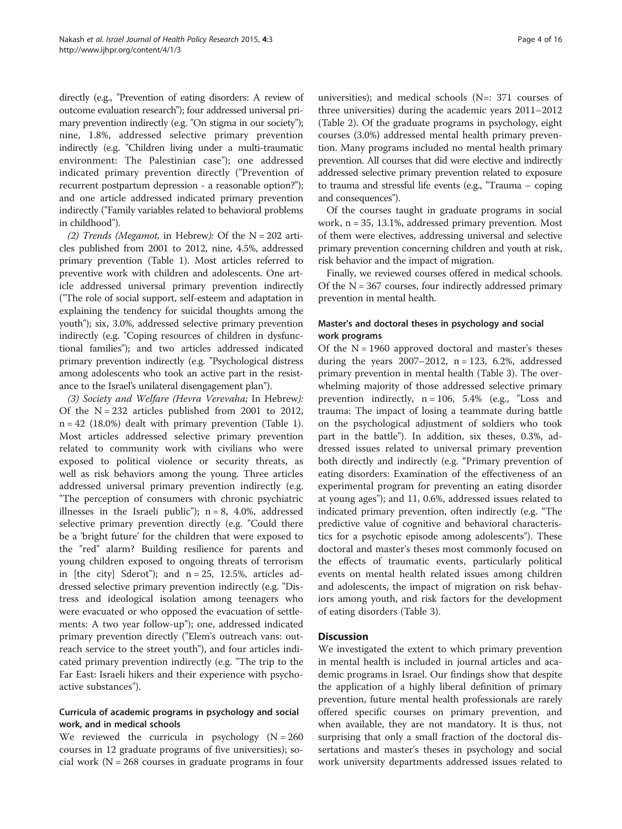directly (e.g., "Prevention of eating disorders: A review of outcome evaluation research"); four addressed universal primary prevention indirectly (e.g. "On stigma in our society"); nine, 1.8%, addressed selective primary prevention indirectly (e.g. "Children living under a multi-traumatic environment: The Palestinian case"); one addressed indicated primary prevention directly ("Prevention of recurrent postpartum depression - a reasonable option?"); and one article addressed indicated primary prevention indirectly ("Family variables related to behavioral problems in childhood").

(2) Trends (Megamot, in Hebrew): Of the  $N = 202$  articles published from 2001 to 2012, nine, 4.5%, addressed primary prevention (Table [1](#page-2-0)). Most articles referred to preventive work with children and adolescents. One article addressed universal primary prevention indirectly ("The role of social support, self-esteem and adaptation in explaining the tendency for suicidal thoughts among the youth"); six, 3.0%, addressed selective primary prevention indirectly (e.g. "Coping resources of children in dysfunctional families"); and two articles addressed indicated primary prevention indirectly (e.g. "Psychological distress among adolescents who took an active part in the resistance to the Israel's unilateral disengagement plan").

(3) Society and Welfare (Hevra Verevaha; In Hebrew): Of the  $N = 232$  articles published from 2001 to 2012,  $n = 42$  (18.0%) dealt with primary prevention (Table [1](#page-2-0)). Most articles addressed selective primary prevention related to community work with civilians who were exposed to political violence or security threats, as well as risk behaviors among the young. Three articles addressed universal primary prevention indirectly (e.g. "The perception of consumers with chronic psychiatric illnesses in the Israeli public");  $n = 8$ , 4.0%, addressed selective primary prevention directly (e.g. "Could there be a 'bright future' for the children that were exposed to the "red" alarm? Building resilience for parents and young children exposed to ongoing threats of terrorism in [the city] Sderot"); and  $n = 25$ , 12.5%, articles addressed selective primary prevention indirectly (e.g. "Distress and ideological isolation among teenagers who were evacuated or who opposed the evacuation of settlements: A two year follow-up"); one, addressed indicated primary prevention directly ("Elem's outreach vans: outreach service to the street youth"), and four articles indicated primary prevention indirectly (e.g. "The trip to the Far East: Israeli hikers and their experience with psychoactive substances").

# Curricula of academic programs in psychology and social work, and in medical schools

We reviewed the curricula in psychology  $(N = 260)$ courses in 12 graduate programs of five universities); social work ( $N = 268$  courses in graduate programs in four

universities); and medical schools ( $N =: 371$  courses of three universities) during the academic years 2011–2012 (Table [2](#page-4-0)). Of the graduate programs in psychology, eight courses (3.0%) addressed mental health primary prevention. Many programs included no mental health primary prevention. All courses that did were elective and indirectly addressed selective primary prevention related to exposure to trauma and stressful life events (e.g., "Trauma – coping and consequences").

Of the courses taught in graduate programs in social work, n = 35, 13.1%, addressed primary prevention. Most of them were electives, addressing universal and selective primary prevention concerning children and youth at risk, risk behavior and the impact of migration.

Finally, we reviewed courses offered in medical schools. Of the  $N = 367$  courses, four indirectly addressed primary prevention in mental health.

# Master's and doctoral theses in psychology and social work programs

Of the  $N = 1960$  approved doctoral and master's theses during the years  $2007-2012$ ,  $n = 123$ , 6.2%, addressed primary prevention in mental health (Table [3](#page-7-0)). The overwhelming majority of those addressed selective primary prevention indirectly,  $n = 106$ , 5.4% (e.g., "Loss and trauma: The impact of losing a teammate during battle on the psychological adjustment of soldiers who took part in the battle"). In addition, six theses, 0.3%, addressed issues related to universal primary prevention both directly and indirectly (e.g. "Primary prevention of eating disorders: Examination of the effectiveness of an experimental program for preventing an eating disorder at young ages"); and 11, 0.6%, addressed issues related to indicated primary prevention, often indirectly (e.g. "The predictive value of cognitive and behavioral characteristics for a psychotic episode among adolescents"). These doctoral and master's theses most commonly focused on the effects of traumatic events, particularly political events on mental health related issues among children and adolescents, the impact of migration on risk behaviors among youth, and risk factors for the development of eating disorders (Table [3\)](#page-7-0).

#### **Discussion**

We investigated the extent to which primary prevention in mental health is included in journal articles and academic programs in Israel. Our findings show that despite the application of a highly liberal definition of primary prevention, future mental health professionals are rarely offered specific courses on primary prevention, and when available, they are not mandatory. It is thus, not surprising that only a small fraction of the doctoral dissertations and master's theses in psychology and social work university departments addressed issues related to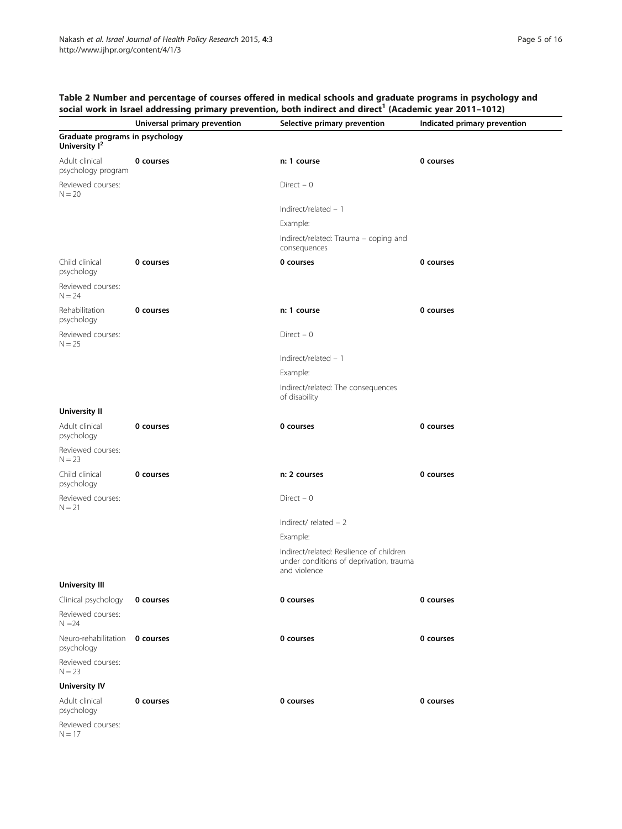## <span id="page-4-0"></span>Table 2 Number and percentage of courses offered in medical schools and graduate programs in psychology and social work in Israel addressing primary prevention, both indirect and direct<sup>1</sup> (Academic year 2011–1012)

|                                      | Universal primary prevention | Selective primary prevention                                                                        | Indicated primary prevention |
|--------------------------------------|------------------------------|-----------------------------------------------------------------------------------------------------|------------------------------|
| Graduate programs in psychology      |                              |                                                                                                     |                              |
| University l <sup>2</sup>            |                              |                                                                                                     |                              |
| Adult clinical<br>psychology program | 0 courses                    | n: 1 course                                                                                         | 0 courses                    |
| Reviewed courses:<br>$N = 20$        |                              | $Direct - 0$                                                                                        |                              |
|                                      |                              | Indirect/related $-1$                                                                               |                              |
|                                      |                              | Example:                                                                                            |                              |
|                                      |                              | Indirect/related: Trauma - coping and<br>consequences                                               |                              |
| Child clinical<br>psychology         | 0 courses                    | 0 courses                                                                                           | 0 courses                    |
| Reviewed courses:<br>$N = 24$        |                              |                                                                                                     |                              |
| Rehabilitation<br>psychology         | 0 courses                    | n: 1 course                                                                                         | 0 courses                    |
| Reviewed courses:<br>$N = 25$        |                              | $Direct - 0$                                                                                        |                              |
|                                      |                              | Indirect/related - 1                                                                                |                              |
|                                      |                              | Example:                                                                                            |                              |
|                                      |                              | Indirect/related: The consequences<br>of disability                                                 |                              |
| University II                        |                              |                                                                                                     |                              |
| Adult clinical<br>psychology         | 0 courses                    | 0 courses                                                                                           | 0 courses                    |
| Reviewed courses:<br>$N = 23$        |                              |                                                                                                     |                              |
| Child clinical<br>psychology         | 0 courses                    | n: 2 courses                                                                                        | 0 courses                    |
| Reviewed courses:<br>$N = 21$        |                              | $Direct - 0$                                                                                        |                              |
|                                      |                              | Indirect/related - 2                                                                                |                              |
|                                      |                              | Example:                                                                                            |                              |
|                                      |                              | Indirect/related: Resilience of children<br>under conditions of deprivation, trauma<br>and violence |                              |
| <b>University III</b>                |                              |                                                                                                     |                              |
| Clinical psychology                  | 0 courses                    | 0 courses                                                                                           | 0 courses                    |
| Reviewed courses:<br>$N = 24$        |                              |                                                                                                     |                              |
| Neuro-rehabilitation<br>psychology   | 0 courses                    | 0 courses                                                                                           | 0 courses                    |
| Reviewed courses:<br>$N = 23$        |                              |                                                                                                     |                              |
| <b>University IV</b>                 |                              |                                                                                                     |                              |
| Adult clinical<br>psychology         | 0 courses                    | 0 courses                                                                                           | 0 courses                    |
| Reviewed courses:<br>$N = 17$        |                              |                                                                                                     |                              |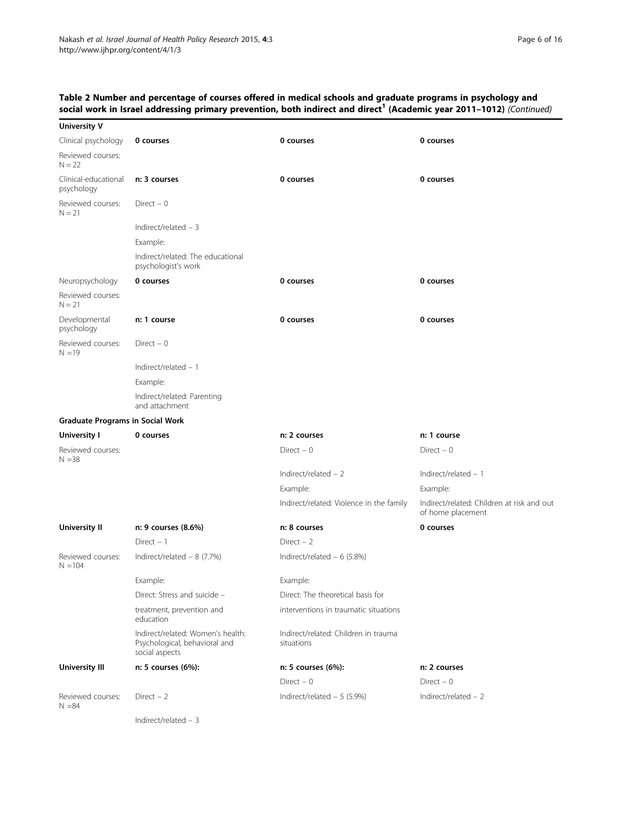# Table 2 Number and percentage of courses offered in medical schools and graduate programs in psychology and social work in Israel addressing primary prevention, both indirect and direct<sup>1</sup> (Academic year 2011–1012) (Continued)

| <b>University V</b>                     |                                                                                      |                                                    |                                                                 |
|-----------------------------------------|--------------------------------------------------------------------------------------|----------------------------------------------------|-----------------------------------------------------------------|
| Clinical psychology                     | 0 courses                                                                            | 0 courses                                          | 0 courses                                                       |
| Reviewed courses:<br>$N = 22$           |                                                                                      |                                                    |                                                                 |
| Clinical-educational<br>psychology      | n: 3 courses                                                                         | 0 courses                                          | 0 courses                                                       |
| Reviewed courses:<br>$N = 21$           | $Direct - 0$                                                                         |                                                    |                                                                 |
|                                         | Indirect/related $-3$                                                                |                                                    |                                                                 |
|                                         | Example:                                                                             |                                                    |                                                                 |
|                                         | Indirect/related: The educational<br>psychologist's work                             |                                                    |                                                                 |
| Neuropsychology                         | 0 courses                                                                            | 0 courses                                          | 0 courses                                                       |
| Reviewed courses:<br>$N = 21$           |                                                                                      |                                                    |                                                                 |
| Developmental<br>psychology             | n: 1 course                                                                          | 0 courses                                          | 0 courses                                                       |
| Reviewed courses:<br>$N = 19$           | $Direct - 0$                                                                         |                                                    |                                                                 |
|                                         | Indirect/related - 1                                                                 |                                                    |                                                                 |
|                                         | Example:                                                                             |                                                    |                                                                 |
|                                         | Indirect/related: Parenting<br>and attachment                                        |                                                    |                                                                 |
| <b>Graduate Programs in Social Work</b> |                                                                                      |                                                    |                                                                 |
| <b>University I</b>                     | 0 courses                                                                            | n: 2 courses                                       | n: 1 course                                                     |
| Reviewed courses:<br>$N = 38$           |                                                                                      | $Direct - 0$                                       | $Direct - 0$                                                    |
|                                         |                                                                                      | Indirect/related $-2$                              | Indirect/related - 1                                            |
|                                         |                                                                                      | Example:                                           | Example:                                                        |
|                                         |                                                                                      | Indirect/related: Violence in the family           | Indirect/related: Children at risk and out<br>of home placement |
| <b>University II</b>                    | n: 9 courses (8.6%)                                                                  | n: 8 courses                                       | 0 courses                                                       |
|                                         | $Direct - 1$                                                                         | $Direct - 2$                                       |                                                                 |
| Reviewed courses:<br>$N = 104$          | Indirect/related $- 8$ (7.7%)                                                        | Indirect/related $-6$ (5.8%)                       |                                                                 |
|                                         | Example:                                                                             | Example:                                           |                                                                 |
|                                         | Direct: Stress and suicide -                                                         | Direct: The theoretical basis for                  |                                                                 |
|                                         | treatment, prevention and<br>education                                               | interventions in traumatic situations              |                                                                 |
|                                         | Indirect/related: Women's health:<br>Psychological, behavioral and<br>social aspects | Indirect/related: Children in trauma<br>situations |                                                                 |
| <b>University III</b>                   | n: 5 courses (6%):                                                                   | n: 5 courses (6%):                                 | n: 2 courses                                                    |
|                                         |                                                                                      | $Direct - 0$                                       | $Direct - 0$                                                    |
| Reviewed courses:<br>$N = 84$           | $Direct - 2$                                                                         | Indirect/related $-5$ (5.9%)                       | Indirect/related $-2$                                           |
|                                         | Indirect/related - 3                                                                 |                                                    |                                                                 |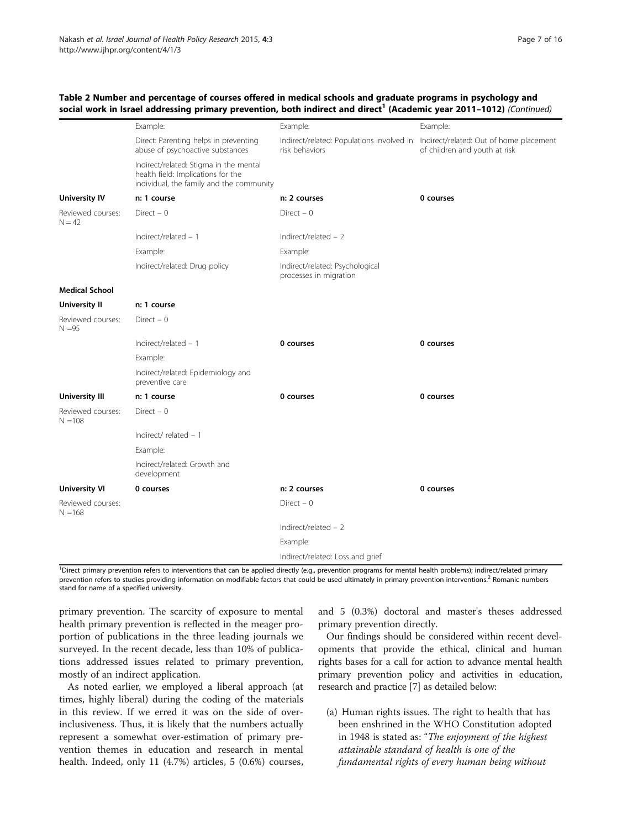|                                | Example:                                                                                                                 | Example:                                                    | Example:                                                                 |
|--------------------------------|--------------------------------------------------------------------------------------------------------------------------|-------------------------------------------------------------|--------------------------------------------------------------------------|
|                                | Direct: Parenting helps in preventing<br>abuse of psychoactive substances                                                | Indirect/related: Populations involved in<br>risk behaviors | Indirect/related: Out of home placement<br>of children and youth at risk |
|                                | Indirect/related: Stigma in the mental<br>health field: Implications for the<br>individual, the family and the community |                                                             |                                                                          |
| <b>University IV</b>           | n: 1 course                                                                                                              | n: 2 courses                                                | 0 courses                                                                |
| Reviewed courses:<br>$N = 42$  | Direct $-0$                                                                                                              | $Direct - 0$                                                |                                                                          |
|                                | Indirect/related - 1                                                                                                     | Indirect/related $-2$                                       |                                                                          |
|                                | Example:                                                                                                                 | Example:                                                    |                                                                          |
|                                | Indirect/related: Drug policy                                                                                            | Indirect/related: Psychological<br>processes in migration   |                                                                          |
| <b>Medical School</b>          |                                                                                                                          |                                                             |                                                                          |
| <b>University II</b>           | n: 1 course                                                                                                              |                                                             |                                                                          |
| Reviewed courses:<br>$N = 95$  | $Direct - 0$                                                                                                             |                                                             |                                                                          |
|                                | Indirect/related - 1                                                                                                     | 0 courses                                                   | 0 courses                                                                |
|                                | Example:                                                                                                                 |                                                             |                                                                          |
|                                | Indirect/related: Epidemiology and<br>preventive care                                                                    |                                                             |                                                                          |
| <b>University III</b>          | n: 1 course                                                                                                              | 0 courses                                                   | 0 courses                                                                |
| Reviewed courses:<br>$N = 108$ | Direct $-0$                                                                                                              |                                                             |                                                                          |
|                                | Indirect/related - 1                                                                                                     |                                                             |                                                                          |
|                                | Example:                                                                                                                 |                                                             |                                                                          |
|                                | Indirect/related: Growth and<br>development                                                                              |                                                             |                                                                          |
| <b>University VI</b>           | 0 courses                                                                                                                | n: 2 courses                                                | 0 courses                                                                |
| Reviewed courses:<br>$N = 168$ |                                                                                                                          | $Direct - 0$                                                |                                                                          |
|                                |                                                                                                                          | Indirect/related - 2                                        |                                                                          |
|                                |                                                                                                                          | Example:                                                    |                                                                          |
|                                |                                                                                                                          | Indirect/related: Loss and grief                            |                                                                          |

#### Table 2 Number and percentage of courses offered in medical schools and graduate programs in psychology and social work in Israel addressing primary prevention, both indirect and direct<sup>1</sup> (Academic year 2011–1012) (Continued)

<sup>1</sup>Direct primary prevention refers to interventions that can be applied directly (e.g., prevention programs for mental health problems); indirect/related primary prevention refers to studies providing information on modifiable factors that could be used ultimately in primary prevention interventions.<sup>2</sup> Romanic numbers stand for name of a specified university.

primary prevention. The scarcity of exposure to mental health primary prevention is reflected in the meager proportion of publications in the three leading journals we surveyed. In the recent decade, less than 10% of publications addressed issues related to primary prevention, mostly of an indirect application.

As noted earlier, we employed a liberal approach (at times, highly liberal) during the coding of the materials in this review. If we erred it was on the side of overinclusiveness. Thus, it is likely that the numbers actually represent a somewhat over-estimation of primary prevention themes in education and research in mental health. Indeed, only 11 (4.7%) articles, 5 (0.6%) courses, and 5 (0.3%) doctoral and master's theses addressed primary prevention directly.

Our findings should be considered within recent developments that provide the ethical, clinical and human rights bases for a call for action to advance mental health primary prevention policy and activities in education, research and practice [\[7\]](#page-14-0) as detailed below:

(a) Human rights issues. The right to health that has been enshrined in the WHO Constitution adopted in 1948 is stated as: "The enjoyment of the highest attainable standard of health is one of the fundamental rights of every human being without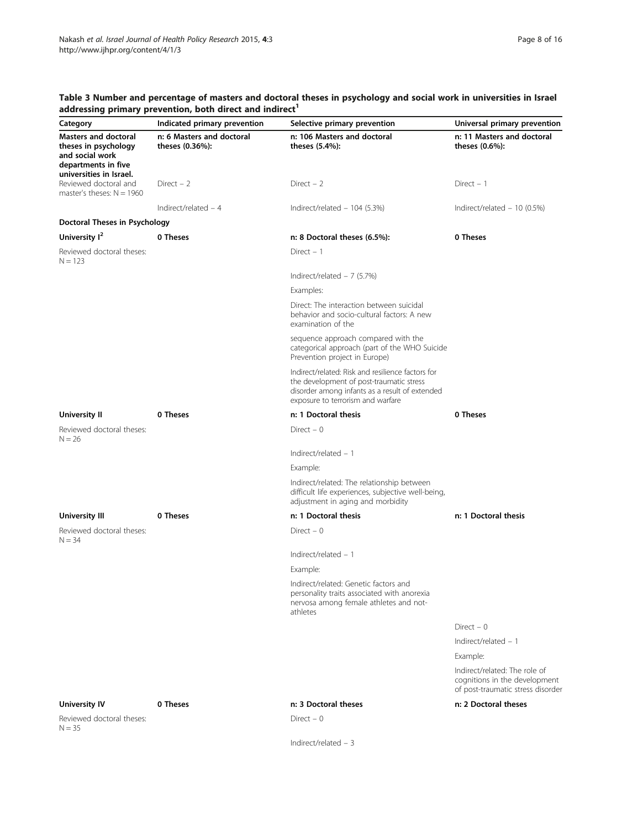#### <span id="page-7-0"></span>Table 3 Number and percentage of masters and doctoral theses in psychology and social work in universities in Israel addressing primary prevention, both direct and indirect $^{\mathsf{1}}$

| Category                                                                                                                 | Indicated primary prevention                 | Selective primary prevention                                                                                                                                                         | Universal primary prevention                                                                        |
|--------------------------------------------------------------------------------------------------------------------------|----------------------------------------------|--------------------------------------------------------------------------------------------------------------------------------------------------------------------------------------|-----------------------------------------------------------------------------------------------------|
| <b>Masters and doctoral</b><br>theses in psychology<br>and social work<br>departments in five<br>universities in Israel. | n: 6 Masters and doctoral<br>theses (0.36%): | n: 106 Masters and doctoral<br>theses (5.4%):                                                                                                                                        | n: 11 Masters and doctoral<br>theses (0.6%):                                                        |
| Reviewed doctoral and<br>master's theses: $N = 1960$                                                                     | $Direct - 2$                                 | $Direct - 2$                                                                                                                                                                         | Direct - 1                                                                                          |
|                                                                                                                          | Indirect/related $-4$                        | Indirect/related $-104$ (5.3%)                                                                                                                                                       | Indirect/related $-10$ (0.5%)                                                                       |
| <b>Doctoral Theses in Psychology</b>                                                                                     |                                              |                                                                                                                                                                                      |                                                                                                     |
| University l <sup>2</sup>                                                                                                | 0 Theses                                     | n: 8 Doctoral theses (6.5%):                                                                                                                                                         | 0 Theses                                                                                            |
| Reviewed doctoral theses:<br>$N = 123$                                                                                   |                                              | $Direct - 1$                                                                                                                                                                         |                                                                                                     |
|                                                                                                                          |                                              | Indirect/related $-7$ (5.7%)                                                                                                                                                         |                                                                                                     |
|                                                                                                                          |                                              | Examples:                                                                                                                                                                            |                                                                                                     |
|                                                                                                                          |                                              | Direct: The interaction between suicidal<br>behavior and socio-cultural factors: A new<br>examination of the                                                                         |                                                                                                     |
|                                                                                                                          |                                              | sequence approach compared with the<br>categorical approach (part of the WHO Suicide<br>Prevention project in Europe)                                                                |                                                                                                     |
|                                                                                                                          |                                              | Indirect/related: Risk and resilience factors for<br>the development of post-traumatic stress<br>disorder among infants as a result of extended<br>exposure to terrorism and warfare |                                                                                                     |
| <b>University II</b>                                                                                                     | 0 Theses                                     | n: 1 Doctoral thesis                                                                                                                                                                 | 0 Theses                                                                                            |
| Reviewed doctoral theses:<br>$N = 26$                                                                                    |                                              | $Direct - 0$                                                                                                                                                                         |                                                                                                     |
|                                                                                                                          |                                              | Indirect/related $-1$                                                                                                                                                                |                                                                                                     |
|                                                                                                                          |                                              | Example:                                                                                                                                                                             |                                                                                                     |
|                                                                                                                          |                                              | Indirect/related: The relationship between<br>difficult life experiences, subjective well-being,<br>adjustment in aging and morbidity                                                |                                                                                                     |
| <b>University III</b>                                                                                                    | 0 Theses                                     | n: 1 Doctoral thesis                                                                                                                                                                 | n: 1 Doctoral thesis                                                                                |
| Reviewed doctoral theses:<br>$N = 34$                                                                                    |                                              | $Direct - 0$                                                                                                                                                                         |                                                                                                     |
|                                                                                                                          |                                              | Indirect/related - 1                                                                                                                                                                 |                                                                                                     |
|                                                                                                                          |                                              | Example:                                                                                                                                                                             |                                                                                                     |
|                                                                                                                          |                                              | Indirect/related: Genetic factors and<br>personality traits associated with anorexia<br>nervosa among female athletes and not-<br>athletes                                           |                                                                                                     |
|                                                                                                                          |                                              |                                                                                                                                                                                      | $Direct - 0$                                                                                        |
|                                                                                                                          |                                              |                                                                                                                                                                                      | Indirect/related $-1$                                                                               |
|                                                                                                                          |                                              |                                                                                                                                                                                      | Example:                                                                                            |
|                                                                                                                          |                                              |                                                                                                                                                                                      | Indirect/related: The role of<br>cognitions in the development<br>of post-traumatic stress disorder |
| <b>University IV</b>                                                                                                     | 0 Theses                                     | n: 3 Doctoral theses                                                                                                                                                                 | n: 2 Doctoral theses                                                                                |
| Reviewed doctoral theses:<br>$N = 35$                                                                                    |                                              | $Direct - 0$                                                                                                                                                                         |                                                                                                     |
|                                                                                                                          |                                              | Indirect/related $-3$                                                                                                                                                                |                                                                                                     |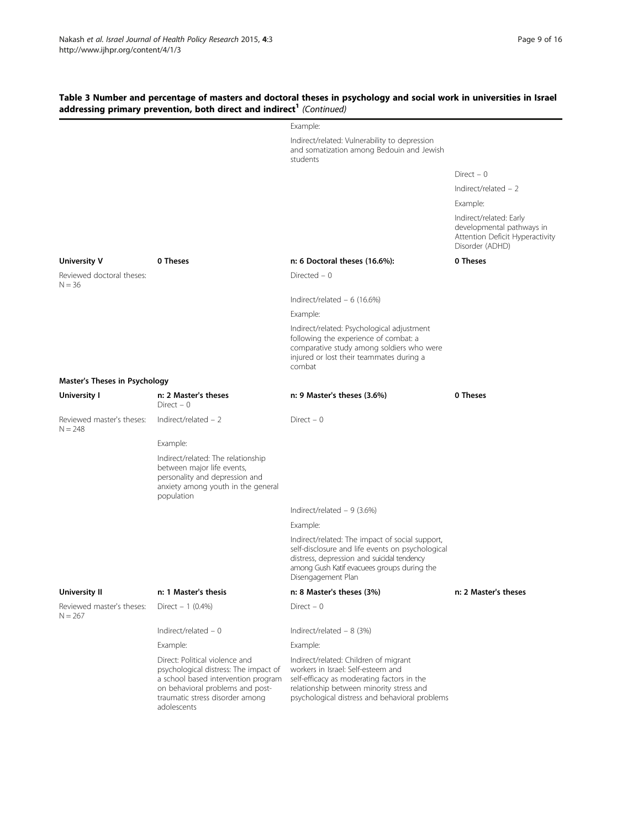adolescents

#### addressing primary prevention, both direct and indirect<sup>1</sup> (Continued) Example: Indirect/related: Vulnerability to depression and somatization among Bedouin and Jewish students Direct – 0 Indirect/related – 2 Example: Indirect/related: Early developmental pathways in Attention Deficit Hyperactivity Disorder (ADHD) University V 0 Theses 0 Theses n: 6 Doctoral theses (16.6%): 0 Theses Reviewed doctoral theses:  $N = 36$ Directed – 0 Indirect/related – 6 (16.6%) Example: Indirect/related: Psychological adjustment following the experience of combat: a comparative study among soldiers who were injured or lost their teammates during a combat Master's Theses in Psychology University I and D and D and D and D and D and D and D and D and D and D and D and D and D and D and D and D a  $Direct - 0$ n: 9 Master's theses (3.6%) 0 Theses Reviewed master's theses:  $N = 248$ Indirect/related – 2 Direct – 0 Example: Indirect/related: The relationship between major life events, personality and depression and anxiety among youth in the general population Indirect/related – 9 (3.6%) Example: Indirect/related: The impact of social support, self-disclosure and life events on psychological distress, depression and suicidal tendency among Gush Katif evacuees groups during the Disengagement Plan University II **n: 1 Master's thesis** n: 8 Master's theses (3%) n: 2 Master's theses Reviewed master's theses:  $N = 267$  $Direct - 1 (0.4%)$  Direct – 0  $Indirect/related - 0$  Indirect/related – 8 (3%) Example: Example: Direct: Political violence and psychological distress: The impact of a school based intervention program on behavioral problems and posttraumatic stress disorder among Indirect/related: Children of migrant workers in Israel: Self-esteem and self-efficacy as moderating factors in the relationship between minority stress and psychological distress and behavioral problems

Table 3 Number and percentage of masters and doctoral theses in psychology and social work in universities in Israel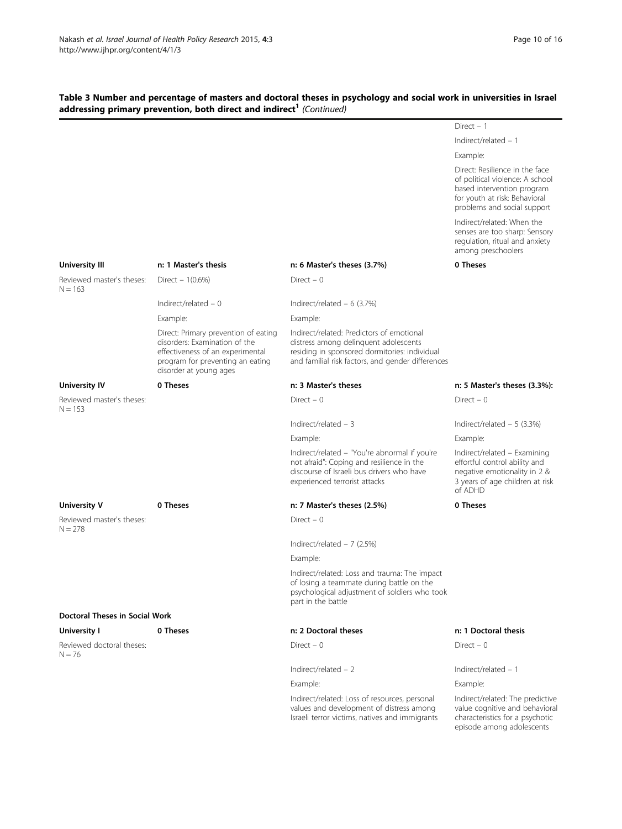# Table 3 Number and percentage of masters and doctoral theses in psychology and social work in universities in Israel addressing primary prevention, both direct and indirect<sup>1</sup> (Continued)

|                                        |                                                                                                                                                                         |                                                                                                                                                                                          | $Direct - 1$                                                                                                                                                    |
|----------------------------------------|-------------------------------------------------------------------------------------------------------------------------------------------------------------------------|------------------------------------------------------------------------------------------------------------------------------------------------------------------------------------------|-----------------------------------------------------------------------------------------------------------------------------------------------------------------|
|                                        |                                                                                                                                                                         |                                                                                                                                                                                          | Indirect/related $-1$                                                                                                                                           |
|                                        |                                                                                                                                                                         |                                                                                                                                                                                          | Example:                                                                                                                                                        |
|                                        |                                                                                                                                                                         |                                                                                                                                                                                          | Direct: Resilience in the face<br>of political violence: A school<br>based intervention program<br>for youth at risk: Behavioral<br>problems and social support |
|                                        |                                                                                                                                                                         |                                                                                                                                                                                          | Indirect/related: When the<br>senses are too sharp: Sensory<br>regulation, ritual and anxiety<br>among preschoolers                                             |
| <b>University III</b>                  | n: 1 Master's thesis                                                                                                                                                    | n: 6 Master's theses (3.7%)                                                                                                                                                              | 0 Theses                                                                                                                                                        |
| Reviewed master's theses:<br>$N = 163$ | Direct $-1(0.6%)$                                                                                                                                                       | $Direct - 0$                                                                                                                                                                             |                                                                                                                                                                 |
|                                        | Indirect/related $-0$                                                                                                                                                   | Indirect/related $-6$ (3.7%)                                                                                                                                                             |                                                                                                                                                                 |
|                                        | Example:                                                                                                                                                                | Example:                                                                                                                                                                                 |                                                                                                                                                                 |
|                                        | Direct: Primary prevention of eating<br>disorders: Examination of the<br>effectiveness of an experimental<br>program for preventing an eating<br>disorder at young ages | Indirect/related: Predictors of emotional<br>distress among delinquent adolescents<br>residing in sponsored dormitories: individual<br>and familial risk factors, and gender differences |                                                                                                                                                                 |
| <b>University IV</b>                   | 0 Theses                                                                                                                                                                | n: 3 Master's theses                                                                                                                                                                     | n: 5 Master's theses (3.3%):                                                                                                                                    |
| Reviewed master's theses:<br>$N = 153$ |                                                                                                                                                                         | $Direct - 0$                                                                                                                                                                             | $Direct - 0$                                                                                                                                                    |
|                                        |                                                                                                                                                                         | Indirect/related $-3$                                                                                                                                                                    | Indirect/related $-5$ (3.3%)                                                                                                                                    |
|                                        |                                                                                                                                                                         | Example:                                                                                                                                                                                 | Example:                                                                                                                                                        |
|                                        |                                                                                                                                                                         | Indirect/related - "You're abnormal if you're<br>not afraid": Coping and resilience in the<br>discourse of Israeli bus drivers who have<br>experienced terrorist attacks                 | Indirect/related - Examining<br>effortful control ability and<br>negative emotionality in 2 &<br>3 years of age children at risk<br>of ADHD                     |
| <b>University V</b>                    | 0 Theses                                                                                                                                                                | n: 7 Master's theses (2.5%)                                                                                                                                                              | 0 Theses                                                                                                                                                        |
| Reviewed master's theses:<br>$N = 278$ |                                                                                                                                                                         | $Direct - 0$                                                                                                                                                                             |                                                                                                                                                                 |
|                                        |                                                                                                                                                                         | Indirect/related $-7$ (2.5%)                                                                                                                                                             |                                                                                                                                                                 |
|                                        |                                                                                                                                                                         | Example:                                                                                                                                                                                 |                                                                                                                                                                 |
|                                        |                                                                                                                                                                         | Indirect/related: Loss and trauma: The impact<br>of losing a teammate during battle on the<br>psychological adjustment of soldiers who took<br>part in the battle                        |                                                                                                                                                                 |
| <b>Doctoral Theses in Social Work</b>  |                                                                                                                                                                         |                                                                                                                                                                                          |                                                                                                                                                                 |
| University I                           | 0 Theses                                                                                                                                                                | n: 2 Doctoral theses                                                                                                                                                                     | n: 1 Doctoral thesis                                                                                                                                            |
| Reviewed doctoral theses:<br>$N = 76$  |                                                                                                                                                                         | $Direct - 0$                                                                                                                                                                             | $Direct - 0$                                                                                                                                                    |
|                                        |                                                                                                                                                                         | Indirect/related $-2$                                                                                                                                                                    | Indirect/related $-1$                                                                                                                                           |
|                                        |                                                                                                                                                                         | Example:                                                                                                                                                                                 | Example:                                                                                                                                                        |
|                                        |                                                                                                                                                                         | Indirect/related: Loss of resources, personal<br>values and development of distress among                                                                                                | Indirect/related: The predictive<br>value cognitive and behavioral                                                                                              |

Israeli terror victims, natives and immigrants

lue cognitive and behavioral characteristics for a psychotic episode among adolescents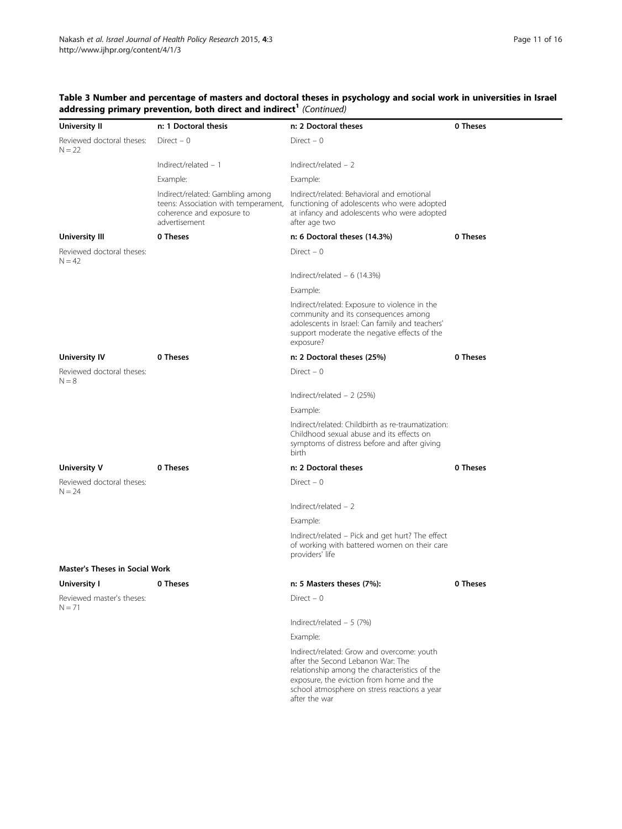| <b>University II</b>                  | n: 1 Doctoral thesis                                                                                                   | n: 2 Doctoral theses                                                                                                                                                                                  | 0 Theses |
|---------------------------------------|------------------------------------------------------------------------------------------------------------------------|-------------------------------------------------------------------------------------------------------------------------------------------------------------------------------------------------------|----------|
| Reviewed doctoral theses:<br>$N = 22$ | Direct $-0$                                                                                                            | $Direct - 0$                                                                                                                                                                                          |          |
|                                       | Indirect/related $-1$                                                                                                  | Indirect/related $-2$                                                                                                                                                                                 |          |
|                                       | Example:                                                                                                               | Example:                                                                                                                                                                                              |          |
|                                       | Indirect/related: Gambling among<br>teens: Association with temperament,<br>coherence and exposure to<br>advertisement | Indirect/related: Behavioral and emotional<br>functioning of adolescents who were adopted<br>at infancy and adolescents who were adopted<br>after age two                                             |          |
| <b>University III</b>                 | 0 Theses                                                                                                               | n: 6 Doctoral theses (14.3%)                                                                                                                                                                          | 0 Theses |
| Reviewed doctoral theses:<br>$N = 42$ |                                                                                                                        | $Direct - 0$                                                                                                                                                                                          |          |
|                                       |                                                                                                                        | Indirect/related $-6$ (14.3%)                                                                                                                                                                         |          |
|                                       |                                                                                                                        | Example:                                                                                                                                                                                              |          |
|                                       |                                                                                                                        | Indirect/related: Exposure to violence in the<br>community and its consequences among<br>adolescents in Israel: Can family and teachers'<br>support moderate the negative effects of the<br>exposure? |          |
| <b>University IV</b>                  | 0 Theses                                                                                                               | n: 2 Doctoral theses (25%)                                                                                                                                                                            | 0 Theses |
| Reviewed doctoral theses:<br>$N = 8$  |                                                                                                                        | Direct $-0$                                                                                                                                                                                           |          |
|                                       |                                                                                                                        | Indirect/related $- 2$ (25%)                                                                                                                                                                          |          |
|                                       |                                                                                                                        | Example:                                                                                                                                                                                              |          |
|                                       |                                                                                                                        | Indirect/related: Childbirth as re-traumatization:<br>Childhood sexual abuse and its effects on<br>symptoms of distress before and after giving<br><b>birth</b>                                       |          |
| <b>University V</b>                   | 0 Theses                                                                                                               | n: 2 Doctoral theses                                                                                                                                                                                  | 0 Theses |
| Reviewed doctoral theses:<br>$N = 24$ |                                                                                                                        | $Direct - 0$                                                                                                                                                                                          |          |
|                                       |                                                                                                                        | Indirect/related $-2$                                                                                                                                                                                 |          |
|                                       |                                                                                                                        | Example:                                                                                                                                                                                              |          |
|                                       |                                                                                                                        | Indirect/related - Pick and get hurt? The effect<br>of working with battered women on their care<br>providers' life                                                                                   |          |
| <b>Master's Theses in Social Work</b> |                                                                                                                        |                                                                                                                                                                                                       |          |
| University I                          | 0 Theses                                                                                                               | n: 5 Masters theses (7%):                                                                                                                                                                             | 0 Theses |
| Reviewed master's theses:<br>$N = 71$ |                                                                                                                        | $Direct - 0$                                                                                                                                                                                          |          |
|                                       |                                                                                                                        | Indirect/related $-5$ (7%)                                                                                                                                                                            |          |
|                                       |                                                                                                                        | Example:                                                                                                                                                                                              |          |
|                                       |                                                                                                                        | Indirect/related: Grow and overcome: youth<br>after the Second Lebanon War: The<br>relationship among the characteristics of the                                                                      |          |

exposure, the eviction from home and the school atmosphere on stress reactions a year

after the war

#### Table 3 Number and percentage of masters and doctoral theses in psychology and social work in universities in Israel addressing primary prevention, both direct and indirect<sup>1</sup> (Continued)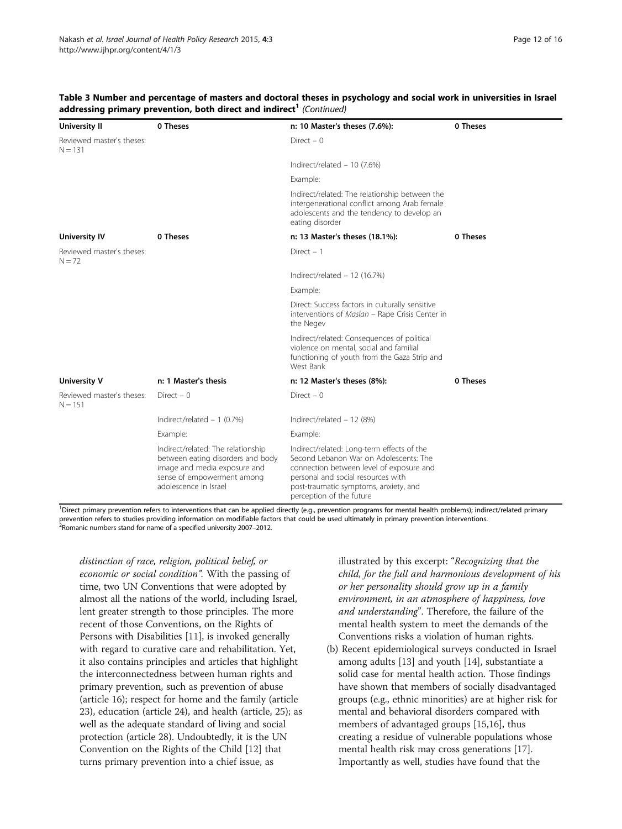| <b>University II</b>                   | 0 Theses                                                                                                                                                       | n: 10 Master's theses (7.6%):                                                                                                                                                                                                               | 0 Theses |
|----------------------------------------|----------------------------------------------------------------------------------------------------------------------------------------------------------------|---------------------------------------------------------------------------------------------------------------------------------------------------------------------------------------------------------------------------------------------|----------|
| Reviewed master's theses:<br>$N = 131$ |                                                                                                                                                                | $Direct - 0$                                                                                                                                                                                                                                |          |
|                                        |                                                                                                                                                                | Indirect/related $-10$ (7.6%)                                                                                                                                                                                                               |          |
|                                        |                                                                                                                                                                | Example:                                                                                                                                                                                                                                    |          |
|                                        |                                                                                                                                                                | Indirect/related: The relationship between the<br>intergenerational conflict among Arab female<br>adolescents and the tendency to develop an<br>eating disorder                                                                             |          |
| <b>University IV</b>                   | 0 Theses                                                                                                                                                       | n: 13 Master's theses (18.1%):                                                                                                                                                                                                              | 0 Theses |
| Reviewed master's theses:<br>$N = 72$  |                                                                                                                                                                | Direct $-1$                                                                                                                                                                                                                                 |          |
|                                        |                                                                                                                                                                | Indirect/related $-12$ (16.7%)                                                                                                                                                                                                              |          |
|                                        |                                                                                                                                                                | Example:                                                                                                                                                                                                                                    |          |
|                                        |                                                                                                                                                                | Direct: Success factors in culturally sensitive<br>interventions of Maslan - Rape Crisis Center in<br>the Negev                                                                                                                             |          |
|                                        |                                                                                                                                                                | Indirect/related: Consequences of political<br>violence on mental, social and familial<br>functioning of youth from the Gaza Strip and<br>West Bank                                                                                         |          |
| <b>University V</b>                    | n: 1 Master's thesis                                                                                                                                           | n: 12 Master's theses (8%):                                                                                                                                                                                                                 | 0 Theses |
| Reviewed master's theses:<br>$N = 151$ | $Direct - 0$                                                                                                                                                   | $Direct - 0$                                                                                                                                                                                                                                |          |
|                                        | Indirect/related $-1$ (0.7%)                                                                                                                                   | Indirect/related - 12 (8%)                                                                                                                                                                                                                  |          |
|                                        | Example:                                                                                                                                                       | Example:                                                                                                                                                                                                                                    |          |
|                                        | Indirect/related: The relationship<br>between eating disorders and body<br>image and media exposure and<br>sense of empowerment among<br>adolescence in Israel | Indirect/related: Long-term effects of the<br>Second Lebanon War on Adolescents: The<br>connection between level of exposure and<br>personal and social resources with<br>post-traumatic symptoms, anxiety, and<br>perception of the future |          |

#### Table 3 Number and percentage of masters and doctoral theses in psychology and social work in universities in Israel addressing primary prevention, both direct and indirect<sup>1</sup> (Continued)

<sup>1</sup>Direct primary prevention refers to interventions that can be applied directly (e.g., prevention programs for mental health problems); indirect/related primary prevention refers to studies providing information on modifiable factors that could be used ultimately in primary prevention interventions. <sup>2</sup> Romanic numbers stand for name of a specified university 2007–2012.

distinction of race, religion, political belief, or economic or social condition". With the passing of time, two UN Conventions that were adopted by almost all the nations of the world, including Israel, lent greater strength to those principles. The more recent of those Conventions, on the Rights of Persons with Disabilities [[11](#page-14-0)], is invoked generally with regard to curative care and rehabilitation. Yet, it also contains principles and articles that highlight the interconnectedness between human rights and primary prevention, such as prevention of abuse (article 16); respect for home and the family (article 23), education (article 24), and health (article, 25); as well as the adequate standard of living and social protection (article 28). Undoubtedly, it is the UN Convention on the Rights of the Child [[12\]](#page-14-0) that turns primary prevention into a chief issue, as

illustrated by this excerpt: "Recognizing that the child, for the full and harmonious development of his or her personality should grow up in a family environment, in an atmosphere of happiness, love and understanding". Therefore, the failure of the mental health system to meet the demands of the Conventions risks a violation of human rights.

(b) Recent epidemiological surveys conducted in Israel among adults [[13](#page-14-0)] and youth [\[14\]](#page-14-0), substantiate a solid case for mental health action. Those findings have shown that members of socially disadvantaged groups (e.g., ethnic minorities) are at higher risk for mental and behavioral disorders compared with members of advantaged groups [[15,16\]](#page-14-0), thus creating a residue of vulnerable populations whose mental health risk may cross generations [\[17](#page-14-0)]. Importantly as well, studies have found that the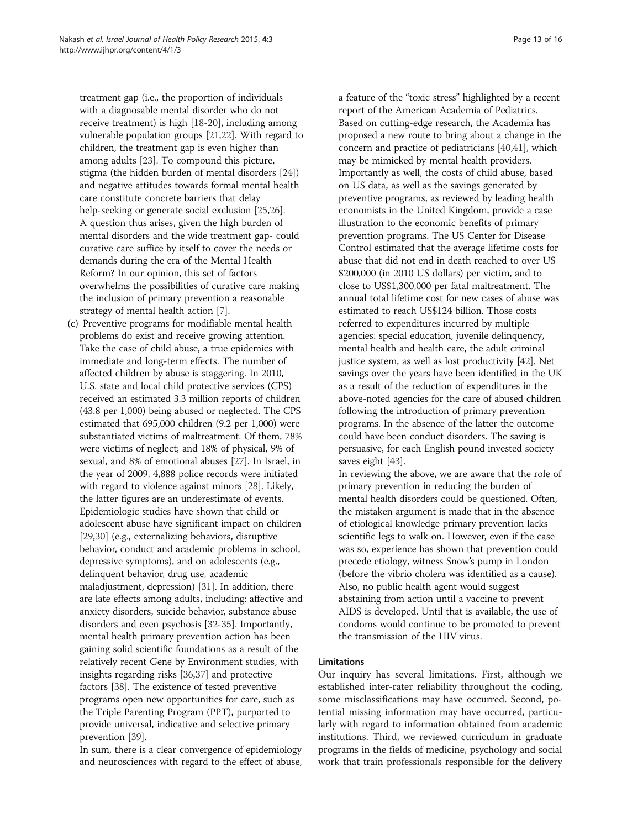treatment gap (i.e., the proportion of individuals with a diagnosable mental disorder who do not receive treatment) is high [[18](#page-14-0)-[20\]](#page-14-0), including among vulnerable population groups [\[21,22\]](#page-14-0). With regard to children, the treatment gap is even higher than among adults [[23](#page-14-0)]. To compound this picture, stigma (the hidden burden of mental disorders [[24](#page-14-0)]) and negative attitudes towards formal mental health care constitute concrete barriers that delay help-seeking or generate social exclusion [[25,26](#page-14-0)]. A question thus arises, given the high burden of mental disorders and the wide treatment gap- could curative care suffice by itself to cover the needs or demands during the era of the Mental Health Reform? In our opinion, this set of factors overwhelms the possibilities of curative care making the inclusion of primary prevention a reasonable strategy of mental health action [\[7](#page-14-0)].

(c) Preventive programs for modifiable mental health problems do exist and receive growing attention. Take the case of child abuse, a true epidemics with immediate and long-term effects. The number of affected children by abuse is staggering. In 2010, U.S. state and local child protective services (CPS) received an estimated 3.3 million reports of children (43.8 per 1,000) being abused or neglected. The CPS estimated that 695,000 children (9.2 per 1,000) were substantiated victims of maltreatment. Of them, 78% were victims of neglect; and 18% of physical, 9% of sexual, and 8% of emotional abuses [\[27\]](#page-14-0). In Israel, in the year of 2009, 4,888 police records were initiated with regard to violence against minors [[28](#page-14-0)]. Likely, the latter figures are an underestimate of events. Epidemiologic studies have shown that child or adolescent abuse have significant impact on children [\[29,30\]](#page-14-0) (e.g., externalizing behaviors, disruptive behavior, conduct and academic problems in school, depressive symptoms), and on adolescents (e.g., delinquent behavior, drug use, academic maladjustment, depression) [[31\]](#page-15-0). In addition, there are late effects among adults, including: affective and anxiety disorders, suicide behavior, substance abuse disorders and even psychosis [[32-35\]](#page-15-0). Importantly, mental health primary prevention action has been gaining solid scientific foundations as a result of the relatively recent Gene by Environment studies, with insights regarding risks [\[36,37\]](#page-15-0) and protective factors [\[38](#page-15-0)]. The existence of tested preventive programs open new opportunities for care, such as the Triple Parenting Program (PPT), purported to provide universal, indicative and selective primary prevention [[39](#page-15-0)].

In sum, there is a clear convergence of epidemiology and neurosciences with regard to the effect of abuse, a feature of the "toxic stress" highlighted by a recent report of the American Academia of Pediatrics. Based on cutting-edge research, the Academia has proposed a new route to bring about a change in the concern and practice of pediatricians [[40,41](#page-15-0)], which may be mimicked by mental health providers. Importantly as well, the costs of child abuse, based on US data, as well as the savings generated by preventive programs, as reviewed by leading health economists in the United Kingdom, provide a case illustration to the economic benefits of primary prevention programs. The US Center for Disease Control estimated that the average lifetime costs for abuse that did not end in death reached to over US \$200,000 (in 2010 US dollars) per victim, and to close to US\$1,300,000 per fatal maltreatment. The annual total lifetime cost for new cases of abuse was estimated to reach US\$124 billion. Those costs referred to expenditures incurred by multiple agencies: special education, juvenile delinquency, mental health and health care, the adult criminal justice system, as well as lost productivity [\[42\]](#page-15-0). Net savings over the years have been identified in the UK as a result of the reduction of expenditures in the above-noted agencies for the care of abused children following the introduction of primary prevention programs. In the absence of the latter the outcome could have been conduct disorders. The saving is persuasive, for each English pound invested society saves eight [[43](#page-15-0)].

In reviewing the above, we are aware that the role of primary prevention in reducing the burden of mental health disorders could be questioned. Often, the mistaken argument is made that in the absence of etiological knowledge primary prevention lacks scientific legs to walk on. However, even if the case was so, experience has shown that prevention could precede etiology, witness Snow's pump in London (before the vibrio cholera was identified as a cause). Also, no public health agent would suggest abstaining from action until a vaccine to prevent AIDS is developed. Until that is available, the use of condoms would continue to be promoted to prevent the transmission of the HIV virus.

#### Limitations

Our inquiry has several limitations. First, although we established inter-rater reliability throughout the coding, some misclassifications may have occurred. Second, potential missing information may have occurred, particularly with regard to information obtained from academic institutions. Third, we reviewed curriculum in graduate programs in the fields of medicine, psychology and social work that train professionals responsible for the delivery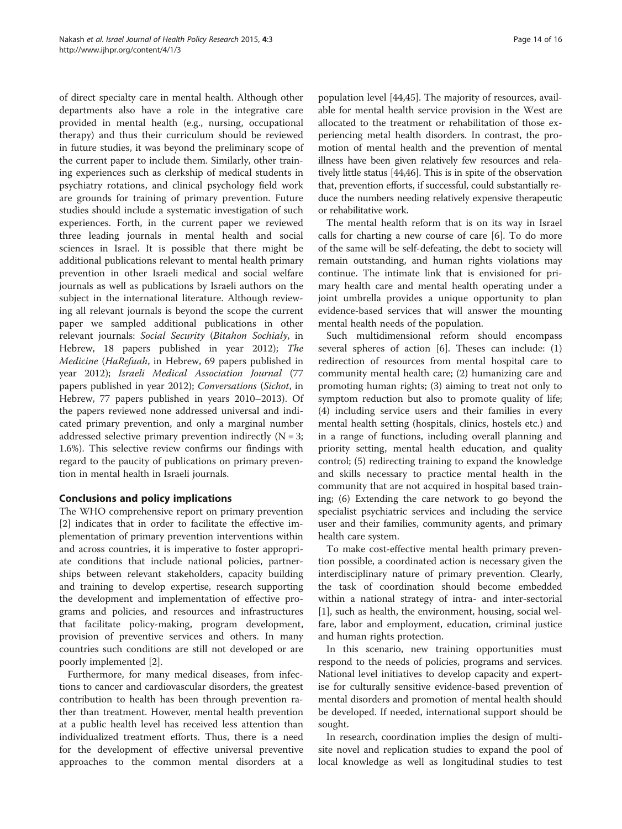of direct specialty care in mental health. Although other departments also have a role in the integrative care provided in mental health (e.g., nursing, occupational therapy) and thus their curriculum should be reviewed in future studies, it was beyond the preliminary scope of the current paper to include them. Similarly, other training experiences such as clerkship of medical students in psychiatry rotations, and clinical psychology field work are grounds for training of primary prevention. Future studies should include a systematic investigation of such experiences. Forth, in the current paper we reviewed three leading journals in mental health and social sciences in Israel. It is possible that there might be additional publications relevant to mental health primary prevention in other Israeli medical and social welfare journals as well as publications by Israeli authors on the subject in the international literature. Although reviewing all relevant journals is beyond the scope the current paper we sampled additional publications in other relevant journals: Social Security (Bitahon Sochialy, in Hebrew, 18 papers published in year 2012); The Medicine (HaRefuah, in Hebrew, 69 papers published in year 2012); Israeli Medical Association Journal (77 papers published in year 2012); Conversations (Sichot, in Hebrew, 77 papers published in years 2010–2013). Of the papers reviewed none addressed universal and indicated primary prevention, and only a marginal number addressed selective primary prevention indirectly  $(N = 3;$ 1.6%). This selective review confirms our findings with regard to the paucity of publications on primary prevention in mental health in Israeli journals.

# Conclusions and policy implications

The WHO comprehensive report on primary prevention [[2\]](#page-14-0) indicates that in order to facilitate the effective implementation of primary prevention interventions within and across countries, it is imperative to foster appropriate conditions that include national policies, partnerships between relevant stakeholders, capacity building and training to develop expertise, research supporting the development and implementation of effective programs and policies, and resources and infrastructures that facilitate policy-making, program development, provision of preventive services and others. In many countries such conditions are still not developed or are poorly implemented [[2](#page-14-0)].

Furthermore, for many medical diseases, from infections to cancer and cardiovascular disorders, the greatest contribution to health has been through prevention rather than treatment. However, mental health prevention at a public health level has received less attention than individualized treatment efforts. Thus, there is a need for the development of effective universal preventive approaches to the common mental disorders at a population level [\[44,45\]](#page-15-0). The majority of resources, available for mental health service provision in the West are allocated to the treatment or rehabilitation of those experiencing metal health disorders. In contrast, the promotion of mental health and the prevention of mental illness have been given relatively few resources and relatively little status [\[44,46](#page-15-0)]. This is in spite of the observation that, prevention efforts, if successful, could substantially reduce the numbers needing relatively expensive therapeutic or rehabilitative work.

The mental health reform that is on its way in Israel calls for charting a new course of care [[6\]](#page-14-0). To do more of the same will be self-defeating, the debt to society will remain outstanding, and human rights violations may continue. The intimate link that is envisioned for primary health care and mental health operating under a joint umbrella provides a unique opportunity to plan evidence-based services that will answer the mounting mental health needs of the population.

Such multidimensional reform should encompass several spheres of action [\[6\]](#page-14-0). Theses can include: (1) redirection of resources from mental hospital care to community mental health care; (2) humanizing care and promoting human rights; (3) aiming to treat not only to symptom reduction but also to promote quality of life; (4) including service users and their families in every mental health setting (hospitals, clinics, hostels etc.) and in a range of functions, including overall planning and priority setting, mental health education, and quality control; (5) redirecting training to expand the knowledge and skills necessary to practice mental health in the community that are not acquired in hospital based training; (6) Extending the care network to go beyond the specialist psychiatric services and including the service user and their families, community agents, and primary health care system.

To make cost-effective mental health primary prevention possible, a coordinated action is necessary given the interdisciplinary nature of primary prevention. Clearly, the task of coordination should become embedded within a national strategy of intra- and inter-sectorial [[1\]](#page-14-0), such as health, the environment, housing, social welfare, labor and employment, education, criminal justice and human rights protection.

In this scenario, new training opportunities must respond to the needs of policies, programs and services. National level initiatives to develop capacity and expertise for culturally sensitive evidence-based prevention of mental disorders and promotion of mental health should be developed. If needed, international support should be sought.

In research, coordination implies the design of multisite novel and replication studies to expand the pool of local knowledge as well as longitudinal studies to test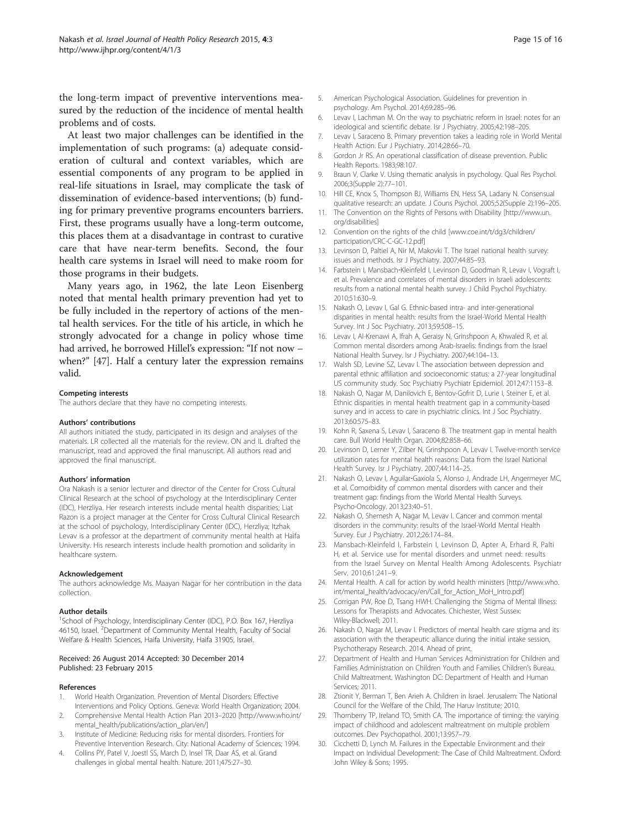<span id="page-14-0"></span>the long-term impact of preventive interventions measured by the reduction of the incidence of mental health problems and of costs.

At least two major challenges can be identified in the implementation of such programs: (a) adequate consideration of cultural and context variables, which are essential components of any program to be applied in real-life situations in Israel, may complicate the task of dissemination of evidence-based interventions; (b) funding for primary preventive programs encounters barriers. First, these programs usually have a long-term outcome, this places them at a disadvantage in contrast to curative care that have near-term benefits. Second, the four health care systems in Israel will need to make room for those programs in their budgets.

Many years ago, in 1962, the late Leon Eisenberg noted that mental health primary prevention had yet to be fully included in the repertory of actions of the mental health services. For the title of his article, in which he strongly advocated for a change in policy whose time had arrived, he borrowed Hillel's expression: "If not now – when?" [\[47](#page-15-0)]. Half a century later the expression remains valid.

#### Competing interests

The authors declare that they have no competing interests.

#### Authors' contributions

All authors initiated the study, participated in its design and analyses of the materials. LR collected all the materials for the review. ON and IL drafted the manuscript, read and approved the final manuscript. All authors read and approved the final manuscript.

#### Authors' information

Ora Nakash is a senior lecturer and director of the Center for Cross Cultural Clinical Research at the school of psychology at the Interdisciplinary Center (IDC), Herzliya. Her research interests include mental health disparities; Liat Razon is a project manager at the Center for Cross Cultural Clinical Research at the school of psychology, Interdisciplinary Center (IDC), Herzliya; Itzhak Levav is a professor at the department of community mental health at Haifa University. His research interests include health promotion and solidarity in healthcare system.

#### Acknowledgement

The authors acknowledge Ms. Maayan Nagar for her contribution in the data collection.

#### Author details

<sup>1</sup>School of Psychology, Interdisciplinary Center (IDC), P.O. Box 167, Herzliya 46150, Israel. <sup>2</sup>Department of Community Mental Health, Faculty of Social Welfare & Health Sciences, Haifa University, Haifa 31905, Israel.

#### Received: 26 August 2014 Accepted: 30 December 2014 Published: 23 February 2015

#### References

- 1. World Health Organization. Prevention of Mental Disorders: Effective Interventions and Policy Options. Geneva: World Health Organization; 2004.
- 2. Comprehensive Mental Health Action Plan 2013–2020 [\[http://www.who.int/](http://www.who.int/mental_health/publications/action_plan/en/) [mental\\_health/publications/action\\_plan/en/\]](http://www.who.int/mental_health/publications/action_plan/en/)
- Institute of Medicine: Reducing risks for mental disorders. Frontiers for Preventive Intervention Research. City: National Academy of Sciences; 1994.
- 4. Collins PY, Patel V, Joestl SS, March D, Insel TR, Daar AS, et al. Grand challenges in global mental health. Nature. 2011;475:27–30.
- 5. American Psychological Association. Guidelines for prevention in psychology. Am Psychol. 2014;69:285–96.
- 6. Levav I, Lachman M. On the way to psychiatric reform in Israel: notes for an ideological and scientific debate. Isr J Psychiatry. 2005;42:198–205.
- 7. Levav I, Saraceno B. Primary prevention takes a leading role in World Mental Health Action. Eur J Psychiatry. 2014;28:66–70.
- 8. Gordon Jr RS. An operational classification of disease prevention. Public Health Reports. 1983;98:107.
- 9. Braun V, Clarke V. Using thematic analysis in psychology. Qual Res Psychol. 2006;3(Supple 2):77–101.
- 10. Hill CE, Knox S, Thompson BJ, Williams EN, Hess SA, Ladany N. Consensual qualitative research: an update. J Couns Psychol. 2005;52(Supple 2):196–205.
- 11. The Convention on the Rights of Persons with Disability [\[http://www.un.](http://www.un.org/disabilities) [org/disabilities\]](http://www.un.org/disabilities)
- 12. Convention on the rights of the child [\[www.coe.int/t/dg3/children/](http://www.coe.int/t/dg3/children/participation/CRC-C-GC-12.pdf) [participation/CRC-C-GC-12.pdf\]](http://www.coe.int/t/dg3/children/participation/CRC-C-GC-12.pdf)
- 13. Levinson D, Paltiel A, Nir M, Makovki T. The Israel national health survey: issues and methods. Isr J Psychiatry. 2007;44:85–93.
- 14. Farbstein I, Mansbach-Kleinfeld I, Levinson D, Goodman R, Levav I, Vograft I, et al. Prevalence and correlates of mental disorders in Israeli adolescents: results from a national mental health survey. J Child Psychol Psychiatry. 2010;51:630–9.
- 15. Nakash O, Levav J, Gal G. Ethnic-based intra- and inter-generational disparities in mental health: results from the Israel-World Mental Health Survey. Int J Soc Psychiatry. 2013;59:508–15.
- 16. Levav I, Al-Krenawi A, Ifrah A, Geraisy N, Grinshpoon A, Khwaled R, et al. Common mental disorders among Arab-Israelis: findings from the Israel National Health Survey. Isr J Psychiatry. 2007;44:104–13.
- 17. Walsh SD, Levine SZ, Levav I. The association between depression and parental ethnic affiliation and socioeconomic status: a 27-year longitudinal US community study. Soc Psychiatry Psychiatr Epidemiol. 2012;47:1153–8.
- 18. Nakash O, Nagar M, Danilovich E, Bentov-Gofrit D, Lurie I, Steiner E, et al. Ethnic disparities in mental health treatment gap in a community-based survey and in access to care in psychiatric clinics. Int J Soc Psychiatry. 2013;60:575–83.
- 19. Kohn R, Saxena S, Levav I, Saraceno B. The treatment gap in mental health care. Bull World Health Organ. 2004;82:858–66.
- 20. Levinson D, Lerner Y, Zilber N, Grinshpoon A, Levav I. Twelve-month service utilization rates for mental health reasons: Data from the Israel National Health Survey. Isr J Psychiatry. 2007;44:114–25.
- 21. Nakash O, Levav I, Aguilar-Gaxiola S, Alonso J, Andrade LH, Angermeyer MC, et al. Comorbidity of common mental disorders with cancer and their treatment gap: findings from the World Mental Health Surveys. Psycho-Oncology. 2013;23:40–51.
- 22. Nakash O, Shemesh A, Nagar M, Levav I. Cancer and common mental disorders in the community: results of the Israel-World Mental Health Survey. Eur J Psychiatry. 2012;26:174–84.
- 23. Mansbach-Kleinfeld I, Farbstein I, Levinson D, Apter A, Erhard R, Palti H, et al. Service use for mental disorders and unmet need: results from the Israel Survey on Mental Health Among Adolescents. Psychiatr Serv. 2010;61:241–9.
- 24. Mental Health. A call for action by world health ministers [\[http://www.who.](http://www.who.int/mental_health/advocacy/en/Call_for_Action_MoH_Intro.pdf) [int/mental\\_health/advocacy/en/Call\\_for\\_Action\\_MoH\\_Intro.pdf](http://www.who.int/mental_health/advocacy/en/Call_for_Action_MoH_Intro.pdf)]
- 25. Corrigan PW, Roe D, Tsang HWH. Challenging the Stigma of Mental Illness: Lessons for Therapists and Advocates. Chichester, West Sussex: Wiley-Blackwell; 2011.
- 26. Nakash O, Nagar M, Levav I. Predictors of mental health care stigma and its association with the therapeutic alliance during the initial intake session, Psychotherapy Research. 2014. Ahead of print.
- 27. Department of Health and Human Services Administration for Children and Families Administration on Children Youth and Families Children's Bureau. Child Maltreatment. Washington DC: Department of Health and Human Services; 2011.
- 28. Ztionit Y, Berman T, Ben Arieh A. Children in Israel. Jerusalem: The National Council for the Welfare of the Child, The Haruv Institute; 2010.
- 29. Thornberry TP, Ireland TO, Smith CA. The importance of timing: the varying impact of childhood and adolescent maltreatment on multiple problem outcomes. Dev Psychopathol. 2001;13:957–79.
- 30. Cicchetti D, Lynch M. Failures in the Expectable Environment and their Impact on Individual Development: The Case of Child Maltreatment. Oxford: John Wiley & Sons; 1995.